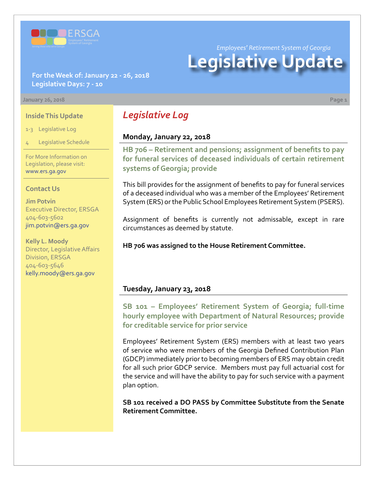

*Employees' Retirement System of Georgia*

# **Legislative Update**

#### **For the Week of: January 22 - 26, 2018 Legislative Days: 7 - 10**

#### **January 26, 2018 Page 1**

#### **Inside This Update**

1-3 Legislative Log

4 Legislative Schedule

For More Information on Legislation, please visit: [www.ers.ga.gov](http://www.ers.ga.gov/default.aspx)

#### **Contact Us**

**Jim Potvin** Executive Director, ERSGA 404-603-5602 jim.potvin@ers.ga.gov

**Kelly L. Moody** Director, Legislative Affairs Division, ERSGA 404-603-5646 kelly.moody@ers.ga.gov

# *Legislative Log*

#### **Monday, January 22, 2018**

**HB 706 [– R](http://www.legis.ga.gov/legislation/en-US/Display/20172018/HB/706)etirement and pensions; assignment of benefits to pay for funeral services of deceased individuals of certain retirement systems of Georgia; provide**

This bill provides for the assignment of benefits to pay for funeral services of a deceased individual who was a member of the Employees' Retirement System (ERS) or the Public School Employees Retirement System (PSERS).

Assignment of benefits is currently not admissable, except in rare circumstances as deemed by statute.

#### **HB 706 was assigned to the House Retirement Committee.**

#### **Tuesday, January 23, 2018**

**SB 101 [– E](http://www.legis.ga.gov/legislation/en-US/Display/20172018/SB/101)mployees' Retirement System of Georgia; full-time hourly employee with Department of Natural Resources; provide for creditable service for prior service**

Employees' Retirement System (ERS) members with at least two years of service who were members of the Georgia Defined Contribution Plan (GDCP) immediately prior to becoming members of ERS may obtain credit for all such prior GDCP service. Members must pay full actuarial cost for the service and will have the ability to pay for such service with a payment plan option.

**SB 101 received a DO PASS by Committee Substitute from the Senate Retirement Committee.**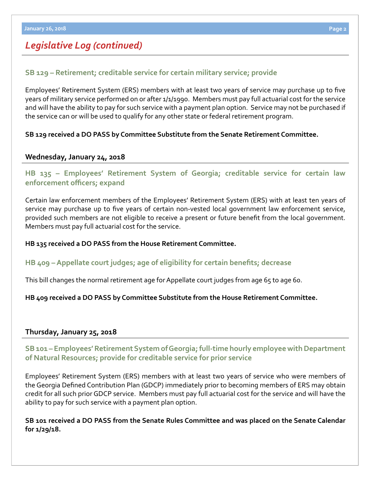# *Legislative Log (continued)*

## **SB 129 [– R](http://www.legis.ga.gov/legislation/en-US/Display/20172018/SB/129)etirement; creditable service for certain military service; provide**

Employees' Retirement System (ERS) members with at least two years of service may purchase up to five years of military service performed on or after 1/1/1990. Members must pay full actuarial cost for the service and will have the ability to pay for such service with a payment plan option. Service may not be purchased if the service can or will be used to qualify for any other state or federal retirement program.

#### **SB 129 received a DO PASS by Committee Substitute from the Senate Retirement Committee.**

## **Wednesday, January 24, 2018**

# **HB 135 [– E](http://www.legis.ga.gov/legislation/en-US/Display/20172018/HB/135)mployees' Retirement System of Georgia; creditable service for certain law enforcement officers; expand**

Certain law enforcement members of the Employees' Retirement System (ERS) with at least ten years of service may purchase up to five years of certain non-vested local government law enforcement service, provided such members are not eligible to receive a present or future benefit from the local government. Members must pay full actuarial cost for the service.

#### **HB 135 received a DO PASS from the House Retirement Committee.**

#### **HB 409 [–](http://www.legis.ga.gov/legislation/en-US/Display/20172018/HB/409) Appellate court judges; age of eligibility for certain benefits; decrease**

This bill changes the normal retirement age for Appellate court judges from age 65 to age 60.

#### **HB 409 received a DO PASS by Committee Substitute from the House Retirement Committee.**

#### **Thursday, January 25, 2018**

## **SB 101 [–](http://www.legis.ga.gov/legislation/en-US/Display/20172018/SB/101) Employees' Retirement System of Georgia; full-time hourly employee with Department of Natural Resources; provide for creditable service for prior service**

Employees' Retirement System (ERS) members with at least two years of service who were members of the Georgia Defined Contribution Plan (GDCP) immediately prior to becoming members of ERS may obtain credit for all such prior GDCP service. Members must pay full actuarial cost for the service and will have the ability to pay for such service with a payment plan option.

**SB 101 received a DO PASS from the Senate Rules Committee and was placed on the Senate Calendar for 1/29/18.**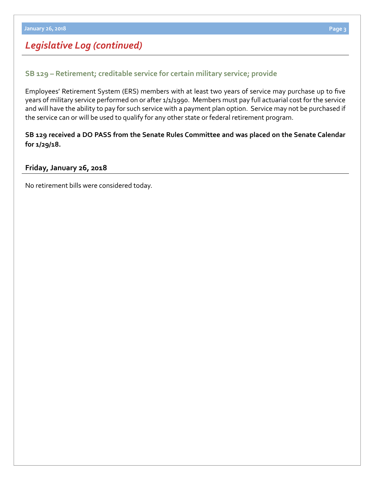# *Legislative Log (continued)*

## **SB 129 [– R](http://www.legis.ga.gov/legislation/en-US/Display/20172018/SB/129)etirement; creditable service for certain military service; provide**

Employees' Retirement System (ERS) members with at least two years of service may purchase up to five years of military service performed on or after 1/1/1990. Members must pay full actuarial cost for the service and will have the ability to pay for such service with a payment plan option. Service may not be purchased if the service can or will be used to qualify for any other state or federal retirement program.

## **SB 129 received a DO PASS from the Senate Rules Committee and was placed on the Senate Calendar for 1/29/18.**

#### **Friday, January 26, 2018**

No retirement bills were considered today.